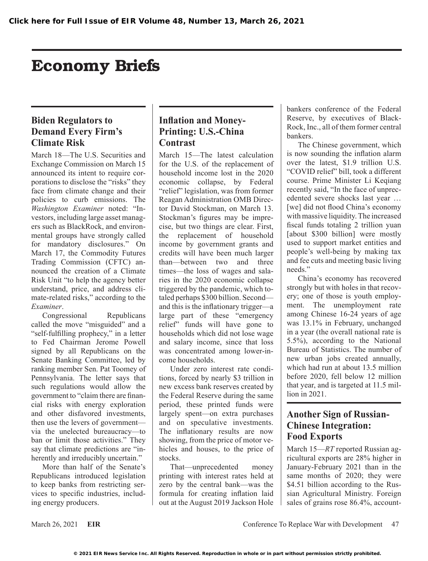# Economy Briefs

### **Biden Regulators to Demand Every Firm's Climate Risk**

March 18—The U.S. Securities and Exchange Commission on March 15 announced its intent to require corporations to disclose the "risks" they face from climate change and their policies to curb emissions. The *Washington Examiner* noted: "Investors, including large asset managers such as BlackRock, and environmental groups have strongly called for mandatory disclosures." On March 17, the Commodity Futures Trading Commission (CFTC) announced the creation of a Climate Risk Unit "to help the agency better understand, price, and address climate-related risks," according to the *Examiner*.

Congressional Republicans called the move "misguided" and a "self-fulfilling prophecy," in a letter to Fed Chairman Jerome Powell signed by all Republicans on the Senate Banking Committee, led by ranking member Sen. Pat Toomey of Pennsylvania. The letter says that such regulations would allow the government to "claim there are financial risks with energy exploration and other disfavored investments, then use the levers of government via the unelected bureaucracy—to ban or limit those activities." They say that climate predictions are "inherently and irreducibly uncertain."

More than half of the Senate's Republicans introduced legislation to keep banks from restricting services to specific industries, including energy producers.

### **Inflation and Money-Printing: U.S.-China Contrast**

March 15—The latest calculation for the U.S. of the replacement of household income lost in the 2020 economic collapse, by Federal "relief" legislation, was from former Reagan Administration OMB Director David Stockman, on March 13. Stockman's figures may be imprecise, but two things are clear. First, the replacement of household income by government grants and credits will have been much larger than—between two and three times—the loss of wages and salaries in the 2020 economic collapse triggered by the pandemic, which totaled perhaps \$300 billion. Second and this is the inflationary trigger—a large part of these "emergency relief" funds will have gone to households which did not lose wage and salary income, since that loss was concentrated among lower-income households.

Under zero interest rate conditions, forced by nearly \$3 trillion in new excess bank reserves created by the Federal Reserve during the same period, these printed funds were largely spent—on extra purchases and on speculative investments. The inflationary results are now showing, from the price of motor vehicles and houses, to the price of stocks.

That—unprecedented money printing with interest rates held at zero by the central bank—was the formula for creating inflation laid out at the August 2019 Jackson Hole

bankers conference of the Federal Reserve, by executives of Black-Rock, Inc., all of them former central bankers.

The Chinese government, which is now sounding the inflation alarm over the latest, \$1.9 trillion U.S. "COVID relief" bill, took a different course. Prime Minister Li Keqiang recently said, "In the face of unprecedented severe shocks last year … [we] did not flood China's economy with massive liquidity. The increased fiscal funds totaling 2 trillion yuan [about \$300 billion] were mostly used to support market entities and people's well-being by making tax and fee cuts and meeting basic living needs"

China's economy has recovered strongly but with holes in that recovery; one of those is youth employment. The unemployment rate among Chinese 16-24 years of age was 13.1% in February, unchanged in a year (the overall national rate is 5.5%), according to the National Bureau of Statistics. The number of new urban jobs created annually, which had run at about 13.5 million before 2020, fell below 12 million that year, and is targeted at 11.5 million in 2021.

## **Another Sign of Russian-Chinese Integration: Food Exports**

March 15—*RT* reported Russian agricultural exports are 28% higher in January-February 2021 than in the same months of 2020; they were \$4.51 billion according to the Russian Agricultural Ministry. Foreign sales of grains rose 86.4%, account-